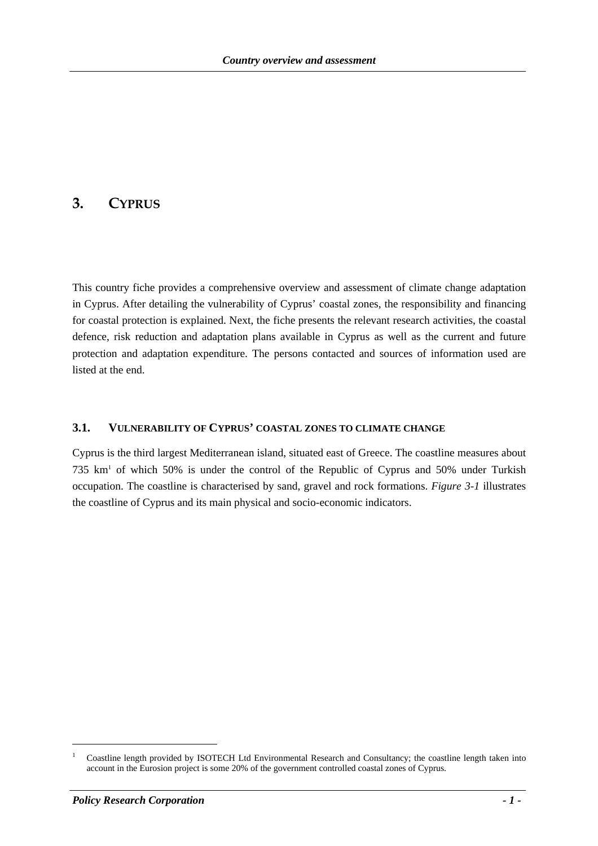# **3. CYPRUS**

This country fiche provides a comprehensive overview and assessment of climate change adaptation in Cyprus. After detailing the vulnerability of Cyprus' coastal zones, the responsibility and financing for coastal protection is explained. Next, the fiche presents the relevant research activities, the coastal defence, risk reduction and adaptation plans available in Cyprus as well as the current and future protection and adaptation expenditure. The persons contacted and sources of information used are listed at the end.

# **3.1. VULNERABILITY OF CYPRUS' COASTAL ZONES TO CLIMATE CHANGE**

Cyprus is the third largest Mediterranean island, situated east of Greece. The coastline measures about 735 km1 of which 50% is under the control of the Republic of Cyprus and 50% under Turkish occupation. The coastline is characterised by sand, gravel and rock formations. *[Figure 3-1](#page-1-0)* illustrates the coastline of Cyprus and its main physical and socio-economic indicators.

<sup>1</sup> Coastline length provided by ISOTECH Ltd Environmental Research and Consultancy; the coastline length taken into account in the Eurosion project is some 20% of the government controlled coastal zones of Cyprus.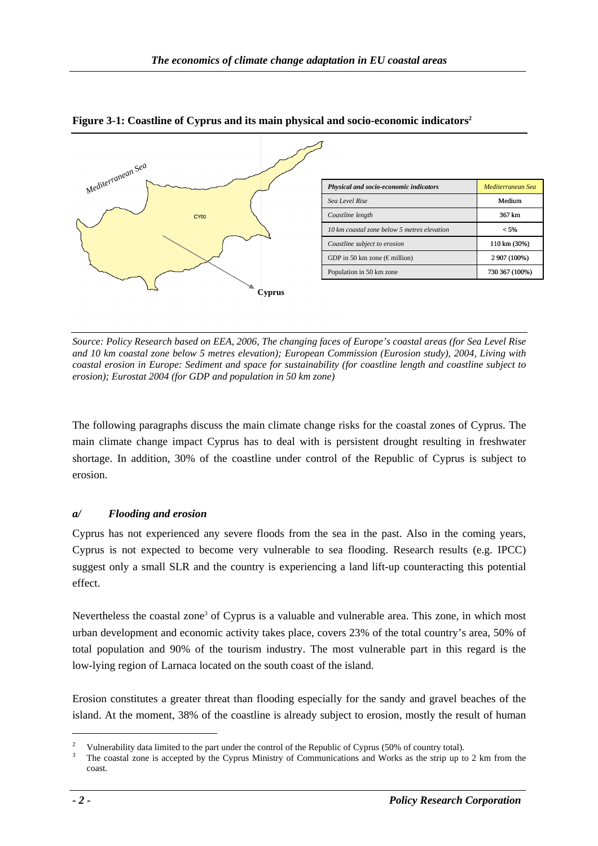<span id="page-1-0"></span>

**Figure 3-1: Coastline of Cyprus and its main physical and socio-economic indicators<sup>2</sup>** 

*Source: Policy Research based on EEA, 2006, The changing faces of Europe's coastal areas (for Sea Level Rise and 10 km coastal zone below 5 metres elevation); European Commission (Eurosion study), 2004, Living with coastal erosion in Europe: Sediment and space for sustainability (for coastline length and coastline subject to erosion); Eurostat 2004 (for GDP and population in 50 km zone)* 

The following paragraphs discuss the main climate change risks for the coastal zones of Cyprus. The main climate change impact Cyprus has to deal with is persistent drought resulting in freshwater shortage. In addition, 30% of the coastline under control of the Republic of Cyprus is subject to erosion.

#### *a/ Flooding and erosion*

Cyprus has not experienced any severe floods from the sea in the past. Also in the coming years, Cyprus is not expected to become very vulnerable to sea flooding. Research results (e.g. IPCC) suggest only a small SLR and the country is experiencing a land lift-up counteracting this potential effect.

Nevertheless the coastal zone<sup>3</sup> of Cyprus is a valuable and vulnerable area. This zone, in which most urban development and economic activity takes place, covers 23% of the total country's area, 50% of total population and 90% of the tourism industry. The most vulnerable part in this regard is the low-lying region of Larnaca located on the south coast of the island.

Erosion constitutes a greater threat than flooding especially for the sandy and gravel beaches of the island. At the moment, 38% of the coastline is already subject to erosion, mostly the result of human

<sup>2</sup> Vulnerability data limited to the part under the control of the Republic of Cyprus (50% of country total). 3

The coastal zone is accepted by the Cyprus Ministry of Communications and Works as the strip up to 2 km from the coast.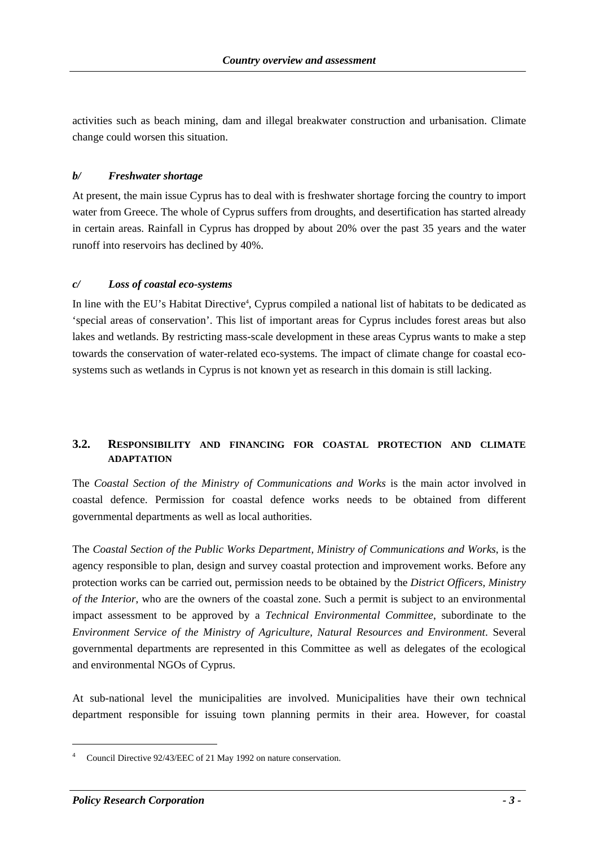activities such as beach mining, dam and illegal breakwater construction and urbanisation. Climate change could worsen this situation.

#### *b/ Freshwater shortage*

At present, the main issue Cyprus has to deal with is freshwater shortage forcing the country to import water from Greece. The whole of Cyprus suffers from droughts, and desertification has started already in certain areas. Rainfall in Cyprus has dropped by about 20% over the past 35 years and the water runoff into reservoirs has declined by 40%.

#### *c/ Loss of coastal eco-systems*

In line with the EU's Habitat Directive<sup>4</sup>, Cyprus compiled a national list of habitats to be dedicated as 'special areas of conservation'. This list of important areas for Cyprus includes forest areas but also lakes and wetlands. By restricting mass-scale development in these areas Cyprus wants to make a step towards the conservation of water-related eco-systems. The impact of climate change for coastal ecosystems such as wetlands in Cyprus is not known yet as research in this domain is still lacking.

# **3.2. RESPONSIBILITY AND FINANCING FOR COASTAL PROTECTION AND CLIMATE ADAPTATION**

The *Coastal Section of the Ministry of Communications and Works* is the main actor involved in coastal defence. Permission for coastal defence works needs to be obtained from different governmental departments as well as local authorities.

The *Coastal Section of the Public Works Department, Ministry of Communications and Works*, is the agency responsible to plan, design and survey coastal protection and improvement works. Before any protection works can be carried out, permission needs to be obtained by the *District Officers, Ministry of the Interior*, who are the owners of the coastal zone. Such a permit is subject to an environmental impact assessment to be approved by a *Technical Environmental Committee*, subordinate to the *Environment Service of the Ministry of Agriculture, Natural Resources and Environment*. Several governmental departments are represented in this Committee as well as delegates of the ecological and environmental NGOs of Cyprus.

At sub-national level the municipalities are involved. Municipalities have their own technical department responsible for issuing town planning permits in their area. However, for coastal

<sup>&</sup>lt;sup>4</sup> Council Directive 92/43/EEC of 21 May 1992 on nature conservation.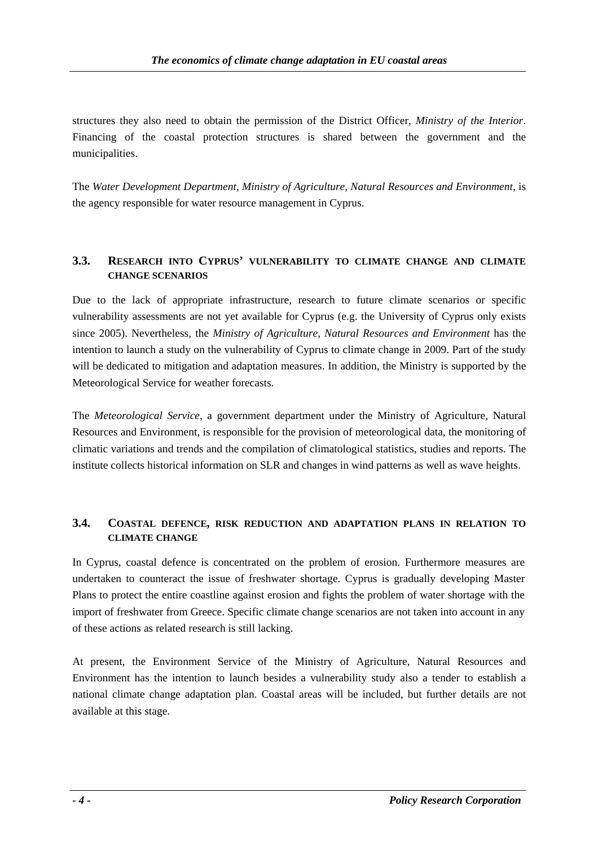structures they also need to obtain the permission of the District Officer, *Ministry of the Interior*. Financing of the coastal protection structures is shared between the government and the municipalities.

The *Water Development Department, Ministry of Agriculture, Natural Resources and Environment*, is the agency responsible for water resource management in Cyprus.

# **3.3. RESEARCH INTO CYPRUS' VULNERABILITY TO CLIMATE CHANGE AND CLIMATE CHANGE SCENARIOS**

Due to the lack of appropriate infrastructure, research to future climate scenarios or specific vulnerability assessments are not yet available for Cyprus (e.g. the University of Cyprus only exists since 2005). Nevertheless, the *Ministry of Agriculture, Natural Resources and Environment* has the intention to launch a study on the vulnerability of Cyprus to climate change in 2009. Part of the study will be dedicated to mitigation and adaptation measures. In addition, the Ministry is supported by the Meteorological Service for weather forecasts.

The *Meteorological Service*, a government department under the Ministry of Agriculture, Natural Resources and Environment, is responsible for the provision of meteorological data, the monitoring of climatic variations and trends and the compilation of climatological statistics, studies and reports. The institute collects historical information on SLR and changes in wind patterns as well as wave heights.

# **3.4. COASTAL DEFENCE, RISK REDUCTION AND ADAPTATION PLANS IN RELATION TO CLIMATE CHANGE**

In Cyprus, coastal defence is concentrated on the problem of erosion. Furthermore measures are undertaken to counteract the issue of freshwater shortage. Cyprus is gradually developing Master Plans to protect the entire coastline against erosion and fights the problem of water shortage with the import of freshwater from Greece. Specific climate change scenarios are not taken into account in any of these actions as related research is still lacking.

At present, the Environment Service of the Ministry of Agriculture, Natural Resources and Environment has the intention to launch besides a vulnerability study also a tender to establish a national climate change adaptation plan. Coastal areas will be included, but further details are not available at this stage.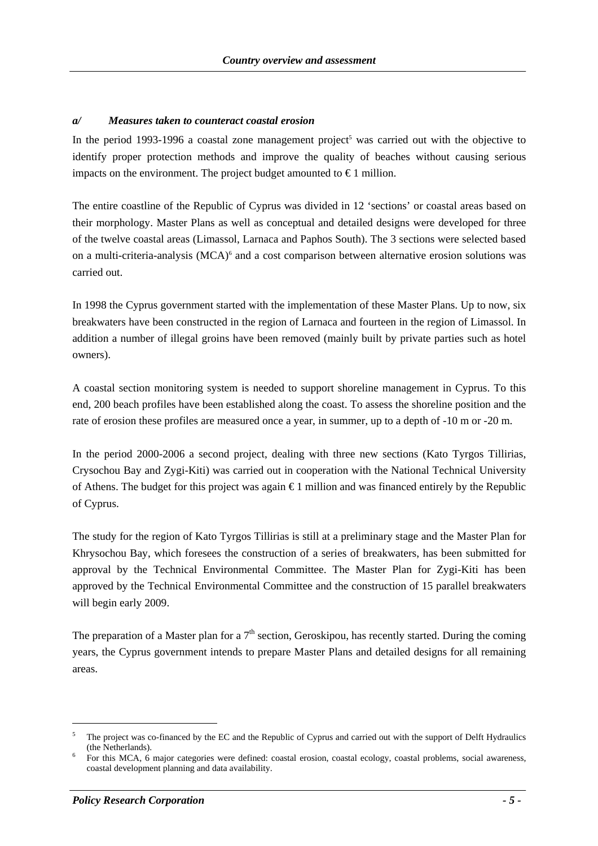#### *a/ Measures taken to counteract coastal erosion*

In the period 1993-1996 a coastal zone management project<sup>5</sup> was carried out with the objective to identify proper protection methods and improve the quality of beaches without causing serious impacts on the environment. The project budget amounted to  $\epsilon$ 1 million.

The entire coastline of the Republic of Cyprus was divided in 12 'sections' or coastal areas based on their morphology. Master Plans as well as conceptual and detailed designs were developed for three of the twelve coastal areas (Limassol, Larnaca and Paphos South). The 3 sections were selected based on a multi-criteria-analysis (MCA)<sup>6</sup> and a cost comparison between alternative erosion solutions was carried out.

In 1998 the Cyprus government started with the implementation of these Master Plans. Up to now, six breakwaters have been constructed in the region of Larnaca and fourteen in the region of Limassol. In addition a number of illegal groins have been removed (mainly built by private parties such as hotel owners).

A coastal section monitoring system is needed to support shoreline management in Cyprus. To this end, 200 beach profiles have been established along the coast. To assess the shoreline position and the rate of erosion these profiles are measured once a year, in summer, up to a depth of -10 m or -20 m.

In the period 2000-2006 a second project, dealing with three new sections (Kato Tyrgos Tillirias, Crysochou Bay and Zygi-Kiti) was carried out in cooperation with the National Technical University of Athens. The budget for this project was again € 1 million and was financed entirely by the Republic of Cyprus.

The study for the region of Kato Tyrgos Tillirias is still at a preliminary stage and the Master Plan for Khrysochou Bay, which foresees the construction of a series of breakwaters, has been submitted for approval by the Technical Environmental Committee. The Master Plan for Zygi-Kiti has been approved by the Technical Environmental Committee and the construction of 15 parallel breakwaters will begin early 2009.

The preparation of a Master plan for a  $7<sup>th</sup>$  section, Geroskipou, has recently started. During the coming years, the Cyprus government intends to prepare Master Plans and detailed designs for all remaining areas.

<sup>5</sup> The project was co-financed by the EC and the Republic of Cyprus and carried out with the support of Delft Hydraulics (the Netherlands).

For this MCA, 6 major categories were defined: coastal erosion, coastal ecology, coastal problems, social awareness, coastal development planning and data availability.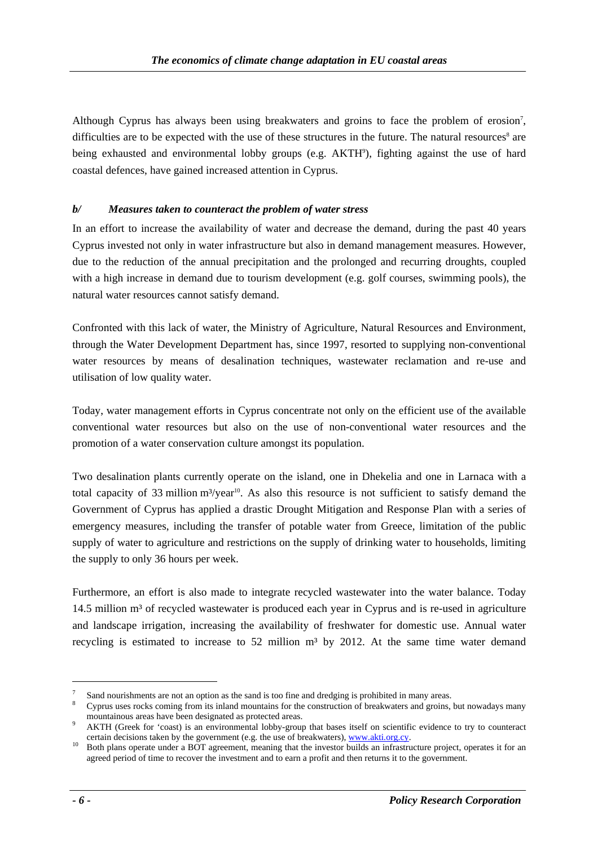Although Cyprus has always been using breakwaters and groins to face the problem of erosion<sup>7</sup>, difficulties are to be expected with the use of these structures in the future. The natural resources<sup>8</sup> are being exhausted and environmental lobby groups (e.g. AKTH<sup>9</sup>), fighting against the use of hard coastal defences, have gained increased attention in Cyprus.

## *b/ Measures taken to counteract the problem of water stress*

In an effort to increase the availability of water and decrease the demand, during the past 40 years Cyprus invested not only in water infrastructure but also in demand management measures. However, due to the reduction of the annual precipitation and the prolonged and recurring droughts, coupled with a high increase in demand due to tourism development (e.g. golf courses, swimming pools), the natural water resources cannot satisfy demand.

Confronted with this lack of water, the Ministry of Agriculture, Natural Resources and Environment, through the Water Development Department has, since 1997, resorted to supplying non-conventional water resources by means of desalination techniques, wastewater reclamation and re-use and utilisation of low quality water.

Today, water management efforts in Cyprus concentrate not only on the efficient use of the available conventional water resources but also on the use of non-conventional water resources and the promotion of a water conservation culture amongst its population.

Two desalination plants currently operate on the island, one in Dhekelia and one in Larnaca with a total capacity of 33 million  $m^3$ /year<sup>10</sup>. As also this resource is not sufficient to satisfy demand the Government of Cyprus has applied a drastic Drought Mitigation and Response Plan with a series of emergency measures, including the transfer of potable water from Greece, limitation of the public supply of water to agriculture and restrictions on the supply of drinking water to households, limiting the supply to only 36 hours per week.

Furthermore, an effort is also made to integrate recycled wastewater into the water balance. Today 14.5 million m<sup>3</sup> of recycled wastewater is produced each year in Cyprus and is re-used in agriculture and landscape irrigation, increasing the availability of freshwater for domestic use. Annual water recycling is estimated to increase to 52 million m<sup>3</sup> by 2012. At the same time water demand

<sup>7</sup> Sand nourishments are not an option as the sand is too fine and dredging is prohibited in many areas.

Cyprus uses rocks coming from its inland mountains for the construction of breakwaters and groins, but nowadays many mountainous areas have been designated as protected areas.<br><sup>9</sup> AKTH (Greek for 'coast) is an environmental lobby-group that bases itself on scientific evidence to try to counteract

certain decisions taken by the government (e.g. the use of breakwaters), www.akti.org.cy.<br><sup>10</sup> Both plans operate under a BOT agreement, meaning that the investor [builds an infrastru](http://www.akti.org.cy/)cture project, operates it for an

agreed period of time to recover the investment and to earn a profit and then returns it to the government.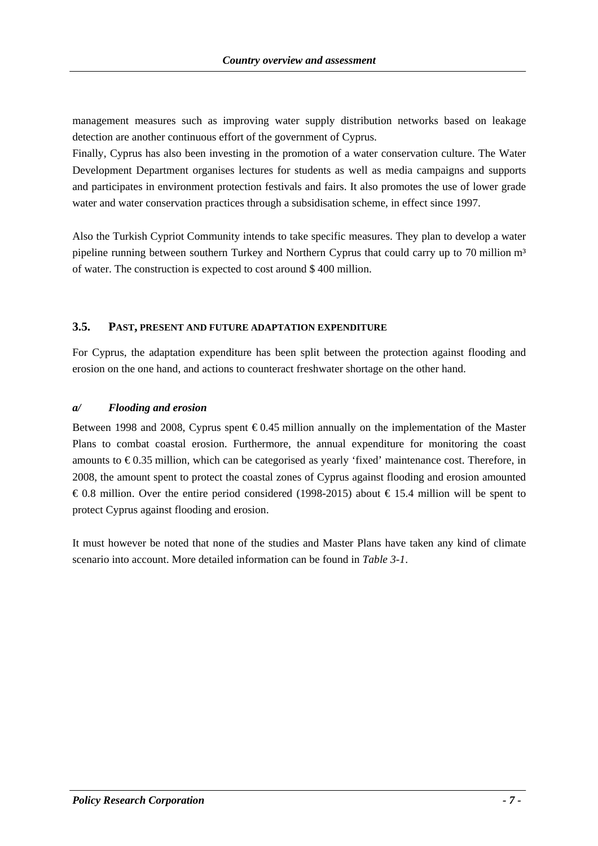management measures such as improving water supply distribution networks based on leakage detection are another continuous effort of the government of Cyprus.

Finally, Cyprus has also been investing in the promotion of a water conservation culture. The Water Development Department organises lectures for students as well as media campaigns and supports and participates in environment protection festivals and fairs. It also promotes the use of lower grade water and water conservation practices through a subsidisation scheme, in effect since 1997.

Also the Turkish Cypriot Community intends to take specific measures. They plan to develop a water pipeline running between southern Turkey and Northern Cyprus that could carry up to 70 million m<sup>3</sup> of water. The construction is expected to cost around \$ 400 million.

## **3.5. PAST, PRESENT AND FUTURE ADAPTATION EXPENDITURE**

For Cyprus, the adaptation expenditure has been split between the protection against flooding and erosion on the one hand, and actions to counteract freshwater shortage on the other hand.

#### *a/ Flooding and erosion*

Between 1998 and 2008, Cyprus spent  $\epsilon$ 0.45 million annually on the implementation of the Master Plans to combat coastal erosion. Furthermore, the annual expenditure for monitoring the coast amounts to  $\epsilon$ 0.35 million, which can be categorised as yearly 'fixed' maintenance cost. Therefore, in 2008, the amount spent to protect the coastal zones of Cyprus against flooding and erosion amounted € 0.8 million. Over the entire period considered (1998-2015) about € 15.4 million will be spent to protect Cyprus against flooding and erosion.

It must however be noted that none of the studies and Master Plans have taken any kind of climate scenario into account. More detailed information can be found in *[Table 3-1](#page-7-0)*.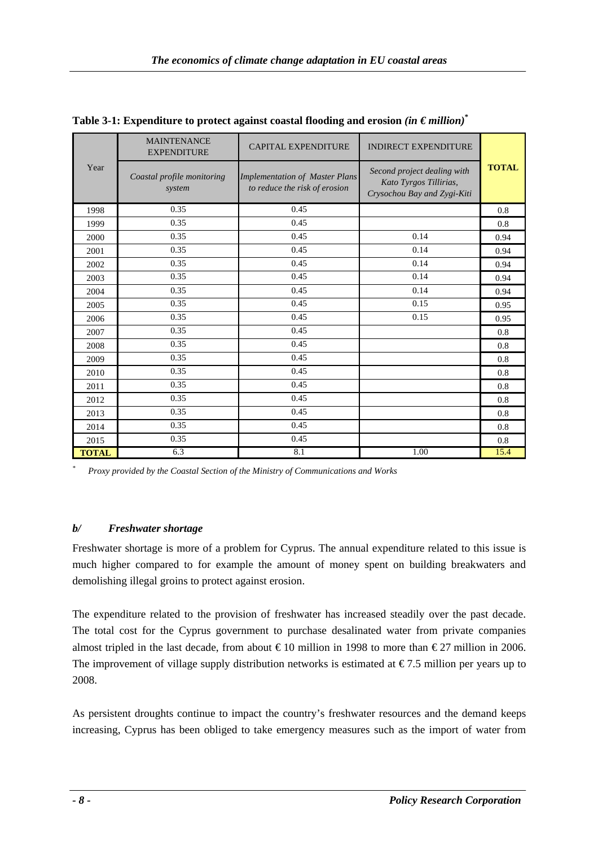| Year         | <b>MAINTENANCE</b><br><b>EXPENDITURE</b> | <b>CAPITAL EXPENDITURE</b>                                             | <b>INDIRECT EXPENDITURE</b>                                                          |              |
|--------------|------------------------------------------|------------------------------------------------------------------------|--------------------------------------------------------------------------------------|--------------|
|              | Coastal profile monitoring<br>system     | <b>Implementation of Master Plans</b><br>to reduce the risk of erosion | Second project dealing with<br>Kato Tyrgos Tillirias,<br>Crysochou Bay and Zygi-Kiti | <b>TOTAL</b> |
| 1998         | 0.35                                     | 0.45                                                                   |                                                                                      | 0.8          |
| 1999         | 0.35                                     | 0.45                                                                   |                                                                                      | 0.8          |
| 2000         | 0.35                                     | 0.45                                                                   | 0.14                                                                                 | 0.94         |
| 2001         | 0.35                                     | 0.45                                                                   | 0.14                                                                                 | 0.94         |
| 2002         | 0.35                                     | 0.45                                                                   | 0.14                                                                                 | 0.94         |
| 2003         | 0.35                                     | 0.45                                                                   | 0.14                                                                                 | 0.94         |
| 2004         | 0.35                                     | 0.45                                                                   | 0.14                                                                                 | 0.94         |
| 2005         | 0.35                                     | 0.45                                                                   | 0.15                                                                                 | 0.95         |
| 2006         | 0.35                                     | 0.45                                                                   | 0.15                                                                                 | 0.95         |
| 2007         | 0.35                                     | 0.45                                                                   |                                                                                      | 0.8          |
| 2008         | 0.35                                     | 0.45                                                                   |                                                                                      | 0.8          |
| 2009         | 0.35                                     | 0.45                                                                   |                                                                                      | 0.8          |
| 2010         | 0.35                                     | 0.45                                                                   |                                                                                      | 0.8          |
| 2011         | 0.35                                     | 0.45                                                                   |                                                                                      | 0.8          |
| 2012         | 0.35                                     | 0.45                                                                   |                                                                                      | 0.8          |
| 2013         | 0.35                                     | 0.45                                                                   |                                                                                      | 0.8          |
| 2014         | 0.35                                     | 0.45                                                                   |                                                                                      | 0.8          |
| 2015         | 0.35                                     | 0.45                                                                   |                                                                                      | 0.8          |
| <b>TOTAL</b> | 6.3                                      | $\overline{8.1}$                                                       | $\overline{1.00}$                                                                    | 15.4         |

<span id="page-7-0"></span>Table 3-1: Expenditure to protect against coastal flooding and erosion  $(in \in million)^*$ 

*\* Proxy provided by the Coastal Section of the Ministry of Communications and Works* 

## *b/ Freshwater shortage*

Freshwater shortage is more of a problem for Cyprus. The annual expenditure related to this issue is much higher compared to for example the amount of money spent on building breakwaters and demolishing illegal groins to protect against erosion.

The expenditure related to the provision of freshwater has increased steadily over the past decade. The total cost for the Cyprus government to purchase desalinated water from private companies almost tripled in the last decade, from about  $\epsilon$ 10 million in 1998 to more than  $\epsilon$ 27 million in 2006. The improvement of village supply distribution networks is estimated at  $\epsilon$ 7.5 million per years up to 2008.

As persistent droughts continue to impact the country's freshwater resources and the demand keeps increasing, Cyprus has been obliged to take emergency measures such as the import of water from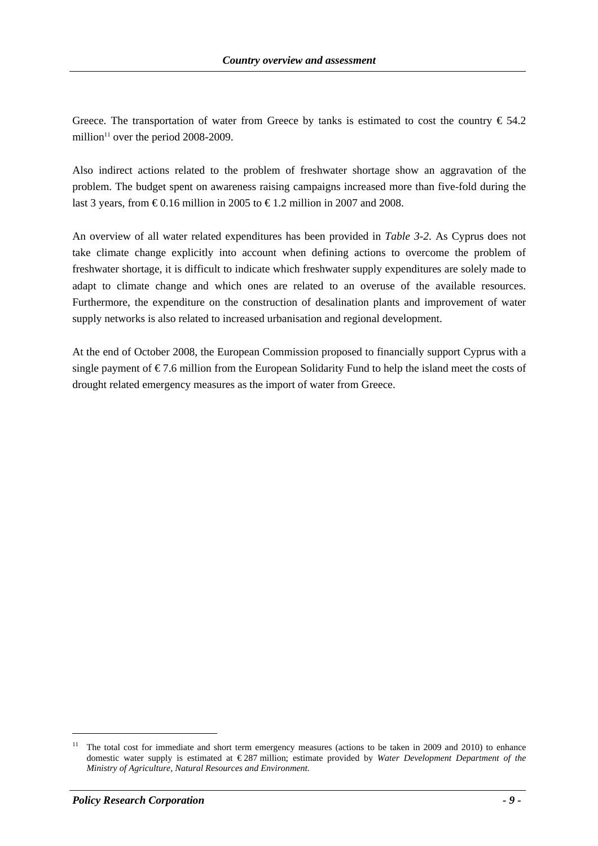Greece. The transportation of water from Greece by tanks is estimated to cost the country  $\epsilon$  54.2 million<sup>11</sup> over the period 2008-2009.

Also indirect actions related to the problem of freshwater shortage show an aggravation of the problem. The budget spent on awareness raising campaigns increased more than five-fold during the last 3 years, from  $\epsilon$ 0.16 million in 2005 to  $\epsilon$ 1.2 million in 2007 and 2008.

An overview of all water related expenditures has been provided in *[Table 3-2](#page-9-0)*. As Cyprus does not take climate change explicitly into account when defining actions to overcome the problem of freshwater shortage, it is difficult to indicate which freshwater supply expenditures are solely made to adapt to climate change and which ones are related to an overuse of the available resources. Furthermore, the expenditure on the construction of desalination plants and improvement of water supply networks is also related to increased urbanisation and regional development.

At the end of October 2008, the European Commission proposed to financially support Cyprus with a single payment of  $\epsilon$ 7.6 million from the European Solidarity Fund to help the island meet the costs of drought related emergency measures as the import of water from Greece.

<sup>&</sup>lt;sup>11</sup> The total cost for immediate and short term emergency measures (actions to be taken in 2009 and 2010) to enhance domestic water supply is estimated at € 287 million; estimate provided by *Water Development Department of the Ministry of Agriculture, Natural Resources and Environment.*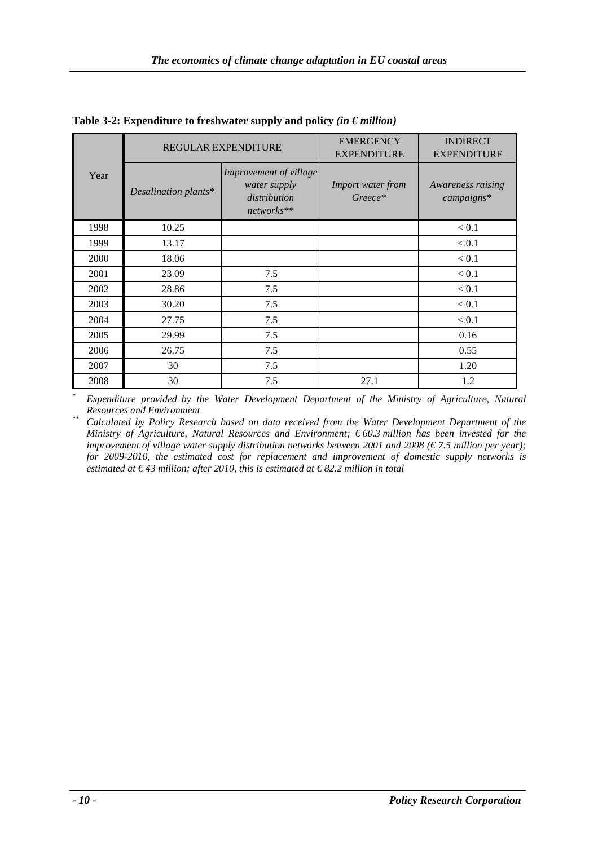| Year | <b>REGULAR EXPENDITURE</b> |                                                                      | <b>EMERGENCY</b><br><b>EXPENDITURE</b> | <b>INDIRECT</b><br><b>EXPENDITURE</b> |
|------|----------------------------|----------------------------------------------------------------------|----------------------------------------|---------------------------------------|
|      | Desalination plants*       | Improvement of village<br>water supply<br>distribution<br>networks** | <b>Import water from</b><br>Greece*    | Awareness raising<br>$camp alguns*$   |
| 1998 | 10.25                      |                                                                      |                                        | < 0.1                                 |
| 1999 | 13.17                      |                                                                      |                                        | < 0.1                                 |
| 2000 | 18.06                      |                                                                      |                                        | < 0.1                                 |
| 2001 | 23.09                      | 7.5                                                                  |                                        | < 0.1                                 |
| 2002 | 28.86                      | 7.5                                                                  |                                        | $< 0.1$                               |
| 2003 | 30.20                      | 7.5                                                                  |                                        | < 0.1                                 |
| 2004 | 27.75                      | 7.5                                                                  |                                        | < 0.1                                 |
| 2005 | 29.99                      | 7.5                                                                  |                                        | 0.16                                  |
| 2006 | 26.75                      | 7.5                                                                  |                                        | 0.55                                  |
| 2007 | 30                         | 7.5                                                                  |                                        | 1.20                                  |
| 2008 | 30                         | 7.5                                                                  | 27.1                                   | 1.2                                   |

<span id="page-9-0"></span>Table 3-2: Expenditure to freshwater supply and policy  $(in \in million)$ 

*\* Expenditure provided by the Water Development Department of the Ministry of Agriculture, Natural* 

*Resources and Environment \*\* Calculated by Policy Research based on data received from the Water Development Department of the Ministry of Agriculture, Natural Resources and Environment; € 60.3 million has been invested for the improvement of village water supply distribution networks between 2001 and 2008 (€ 7.5 million per year); for 2009-2010, the estimated cost for replacement and improvement of domestic supply networks is estimated at € 43 million; after 2010, this is estimated at € 82.2 million in total*